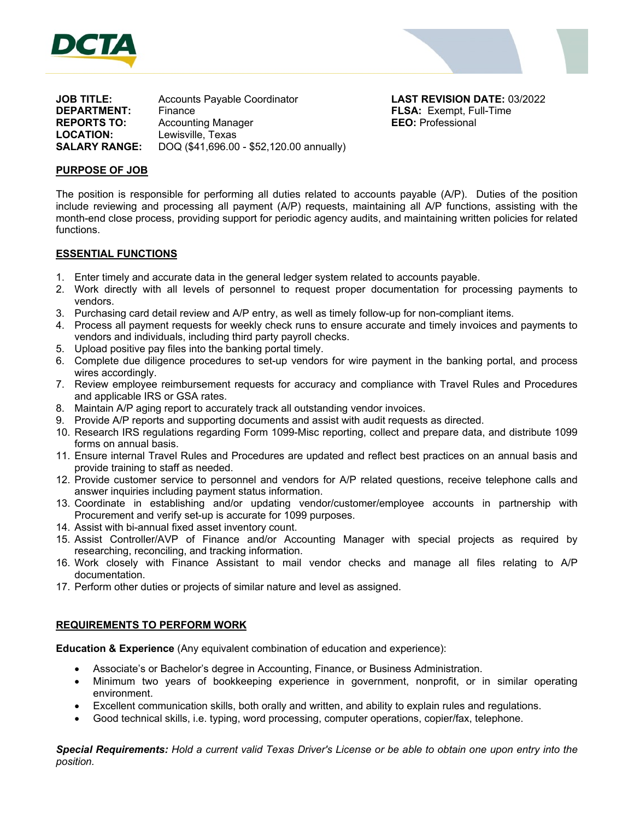



**JOB TITLE:** Accounts Payable Coordinator **LAST REVISION DATE:** 03/2022 **DEPARTMENT:** Finance **FLSA:** Exempt, Full-Time **REPORTS TO:** Accounting Manager **EEO:** Professional **LOCATION:** Lewisville, Texas **SALARY RANGE:** DOQ (\$41,696.00 - \$52,120.00 annually)

## **PURPOSE OF JOB**

The position is responsible for performing all duties related to accounts payable (A/P). Duties of the position include reviewing and processing all payment (A/P) requests, maintaining all A/P functions, assisting with the month-end close process, providing support for periodic agency audits, and maintaining written policies for related functions.

#### **ESSENTIAL FUNCTIONS**

- 1. Enter timely and accurate data in the general ledger system related to accounts payable.
- 2. Work directly with all levels of personnel to request proper documentation for processing payments to vendors.
- 3. Purchasing card detail review and A/P entry, as well as timely follow-up for non-compliant items.
- 4. Process all payment requests for weekly check runs to ensure accurate and timely invoices and payments to vendors and individuals, including third party payroll checks.
- 5. Upload positive pay files into the banking portal timely.
- 6. Complete due diligence procedures to set-up vendors for wire payment in the banking portal, and process wires accordingly.
- 7. Review employee reimbursement requests for accuracy and compliance with Travel Rules and Procedures and applicable IRS or GSA rates.
- 8. Maintain A/P aging report to accurately track all outstanding vendor invoices.
- 9. Provide A/P reports and supporting documents and assist with audit requests as directed.
- 10. Research IRS regulations regarding Form 1099-Misc reporting, collect and prepare data, and distribute 1099 forms on annual basis.
- 11. Ensure internal Travel Rules and Procedures are updated and reflect best practices on an annual basis and provide training to staff as needed.
- 12. Provide customer service to personnel and vendors for A/P related questions, receive telephone calls and answer inquiries including payment status information.
- 13. Coordinate in establishing and/or updating vendor/customer/employee accounts in partnership with Procurement and verify set-up is accurate for 1099 purposes.
- 14. Assist with bi-annual fixed asset inventory count.
- 15. Assist Controller/AVP of Finance and/or Accounting Manager with special projects as required by researching, reconciling, and tracking information.
- 16. Work closely with Finance Assistant to mail vendor checks and manage all files relating to A/P documentation.
- 17. Perform other duties or projects of similar nature and level as assigned.

#### **REQUIREMENTS TO PERFORM WORK**

**Education & Experience** (Any equivalent combination of education and experience):

- Associate's or Bachelor's degree in Accounting, Finance, or Business Administration.
- Minimum two years of bookkeeping experience in government, nonprofit, or in similar operating environment.
- Excellent communication skills, both orally and written, and ability to explain rules and regulations.
- Good technical skills, i.e. typing, word processing, computer operations, copier/fax, telephone.

*Special Requirements: Hold a current valid Texas Driver's License or be able to obtain one upon entry into the position.*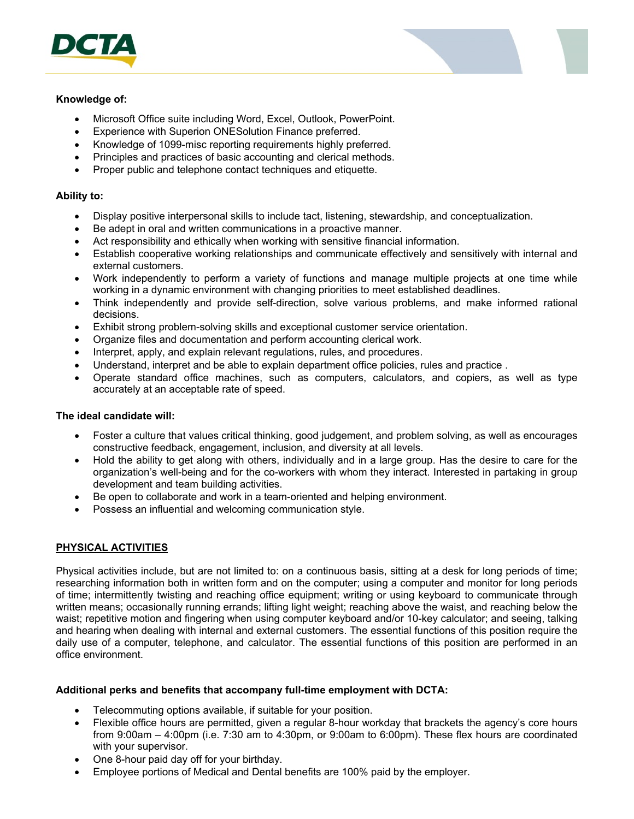



## **Knowledge of:**

- Microsoft Office suite including Word, Excel, Outlook, PowerPoint.
- Experience with Superion ONESolution Finance preferred.
- Knowledge of 1099-misc reporting requirements highly preferred.
- Principles and practices of basic accounting and clerical methods.
- Proper public and telephone contact techniques and etiquette.

## **Ability to:**

- Display positive interpersonal skills to include tact, listening, stewardship, and conceptualization.
- Be adept in oral and written communications in a proactive manner.
- Act responsibility and ethically when working with sensitive financial information.
- Establish cooperative working relationships and communicate effectively and sensitively with internal and external customers.
- Work independently to perform a variety of functions and manage multiple projects at one time while working in a dynamic environment with changing priorities to meet established deadlines.
- Think independently and provide self-direction, solve various problems, and make informed rational decisions.
- Exhibit strong problem-solving skills and exceptional customer service orientation.
- Organize files and documentation and perform accounting clerical work.
- Interpret, apply, and explain relevant regulations, rules, and procedures.
- Understand, interpret and be able to explain department office policies, rules and practice .
- Operate standard office machines, such as computers, calculators, and copiers, as well as type accurately at an acceptable rate of speed.

## **The ideal candidate will:**

- Foster a culture that values critical thinking, good judgement, and problem solving, as well as encourages constructive feedback, engagement, inclusion, and diversity at all levels.
- Hold the ability to get along with others, individually and in a large group. Has the desire to care for the organization's well-being and for the co-workers with whom they interact. Interested in partaking in group development and team building activities.
- Be open to collaborate and work in a team-oriented and helping environment.
- Possess an influential and welcoming communication style.

# **PHYSICAL ACTIVITIES**

Physical activities include, but are not limited to: on a continuous basis, sitting at a desk for long periods of time; researching information both in written form and on the computer; using a computer and monitor for long periods of time; intermittently twisting and reaching office equipment; writing or using keyboard to communicate through written means; occasionally running errands; lifting light weight; reaching above the waist, and reaching below the waist; repetitive motion and fingering when using computer keyboard and/or 10-key calculator; and seeing, talking and hearing when dealing with internal and external customers. The essential functions of this position require the daily use of a computer, telephone, and calculator. The essential functions of this position are performed in an office environment.

#### **Additional perks and benefits that accompany full-time employment with DCTA:**

- Telecommuting options available, if suitable for your position.
- Flexible office hours are permitted, given a regular 8-hour workday that brackets the agency's core hours from 9:00am – 4:00pm (i.e. 7:30 am to 4:30pm, or 9:00am to 6:00pm). These flex hours are coordinated with your supervisor.
- One 8-hour paid day off for your birthday.
- Employee portions of Medical and Dental benefits are 100% paid by the employer.